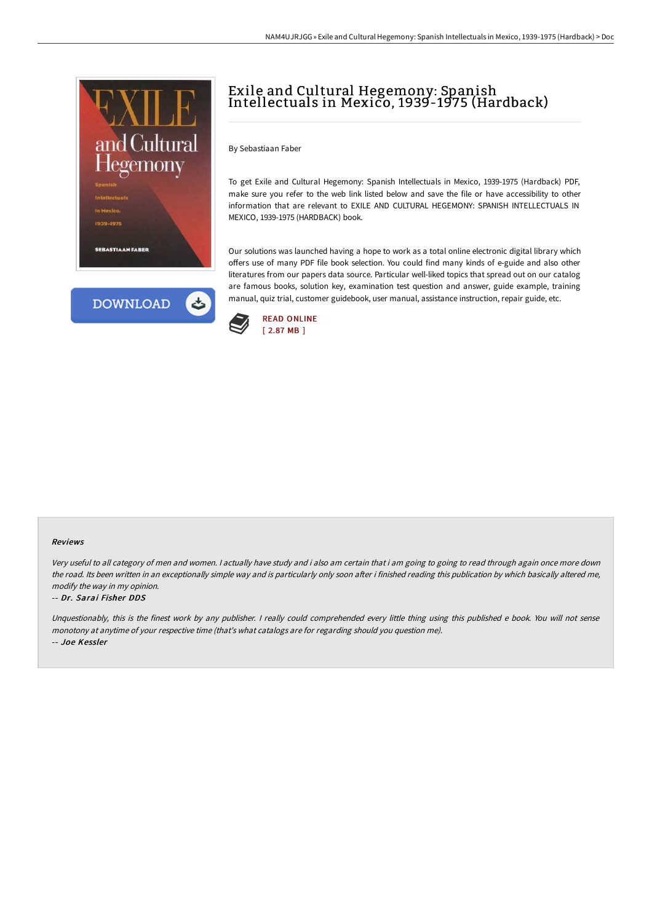



# Exile and Cultural Hegemony: Spanish Intellectuals in Mexico, 1939-1975 (Hardback)

By Sebastiaan Faber

To get Exile and Cultural Hegemony: Spanish Intellectuals in Mexico, 1939-1975 (Hardback) PDF, make sure you refer to the web link listed below and save the file or have accessibility to other information that are relevant to EXILE AND CULTURAL HEGEMONY: SPANISH INTELLECTUALS IN MEXICO, 1939-1975 (HARDBACK) book.

Our solutions was launched having a hope to work as a total online electronic digital library which offers use of many PDF file book selection. You could find many kinds of e-guide and also other literatures from our papers data source. Particular well-liked topics that spread out on our catalog are famous books, solution key, examination test question and answer, guide example, training manual, quiz trial, customer guidebook, user manual, assistance instruction, repair guide, etc.



#### Reviews

Very useful to all category of men and women. <sup>I</sup> actually have study and i also am certain that i am going to going to read through again once more down the road. Its been written in an exceptionally simple way and is particularly only soon after i finished reading this publication by which basically altered me, modify the way in my opinion.

#### -- Dr. Sarai Fisher DDS

Unquestionably, this is the finest work by any publisher. <sup>I</sup> really could comprehended every little thing using this published <sup>e</sup> book. You will not sense monotony at anytime of your respective time (that's what catalogs are for regarding should you question me). -- Joe Kessler